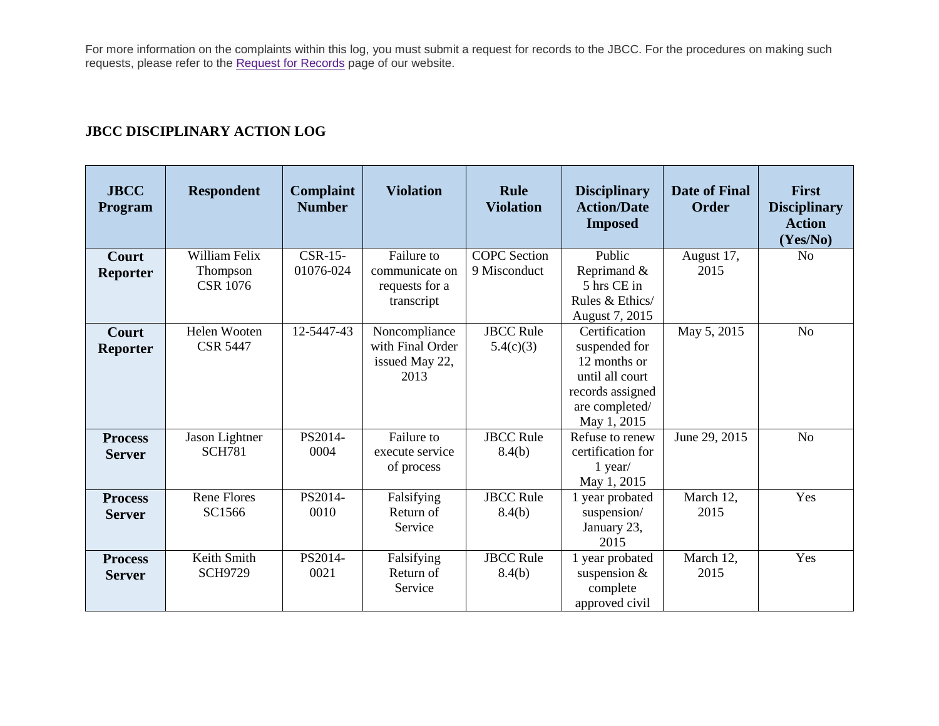For more information on the complaints within this log, you must submit a request for records to the JBCC. For the procedures on making such requests, please refer to the **[Request for Records](http://www.txcourts.gov/jbcc/request-for-records.aspx)** page of our website.

## **JBCC DISCIPLINARY ACTION LOG**

| <b>JBCC</b><br>Program          | <b>Respondent</b>                            | <b>Complaint</b><br><b>Number</b> | <b>Violation</b>                                             | <b>Rule</b><br><b>Violation</b>     | <b>Disciplinary</b><br><b>Action/Date</b><br><b>Imposed</b>                                                            | <b>Date of Final</b><br><b>Order</b> | <b>First</b><br><b>Disciplinary</b><br><b>Action</b><br>(Yes/No) |
|---------------------------------|----------------------------------------------|-----------------------------------|--------------------------------------------------------------|-------------------------------------|------------------------------------------------------------------------------------------------------------------------|--------------------------------------|------------------------------------------------------------------|
| <b>Court</b><br><b>Reporter</b> | William Felix<br>Thompson<br><b>CSR 1076</b> | $CSR-15-$<br>01076-024            | Failure to<br>communicate on<br>requests for a<br>transcript | <b>COPC</b> Section<br>9 Misconduct | Public<br>Reprimand &<br>5 hrs CE in<br>Rules & Ethics/<br>August 7, 2015                                              | August 17,<br>2015                   | N <sub>o</sub>                                                   |
| <b>Court</b><br><b>Reporter</b> | Helen Wooten<br><b>CSR 5447</b>              | 12-5447-43                        | Noncompliance<br>with Final Order<br>issued May 22,<br>2013  | <b>JBCC Rule</b><br>5.4(c)(3)       | Certification<br>suspended for<br>12 months or<br>until all court<br>records assigned<br>are completed/<br>May 1, 2015 | May 5, 2015                          | N <sub>o</sub>                                                   |
| <b>Process</b><br><b>Server</b> | Jason Lightner<br><b>SCH781</b>              | PS2014-<br>0004                   | Failure to<br>execute service<br>of process                  | <b>JBCC Rule</b><br>8.4(b)          | Refuse to renew<br>certification for<br>$1$ year/<br>May 1, 2015                                                       | June 29, 2015                        | N <sub>o</sub>                                                   |
| <b>Process</b><br><b>Server</b> | <b>Rene Flores</b><br>SC1566                 | PS2014-<br>0010                   | Falsifying<br>Return of<br>Service                           | <b>JBCC Rule</b><br>8.4(b)          | 1 year probated<br>suspension/<br>January 23,<br>2015                                                                  | March 12,<br>2015                    | Yes                                                              |
| <b>Process</b><br><b>Server</b> | Keith Smith<br><b>SCH9729</b>                | PS2014-<br>0021                   | Falsifying<br>Return of<br>Service                           | <b>JBCC Rule</b><br>8.4(b)          | 1 year probated<br>suspension $\&$<br>complete<br>approved civil                                                       | March 12,<br>2015                    | Yes                                                              |